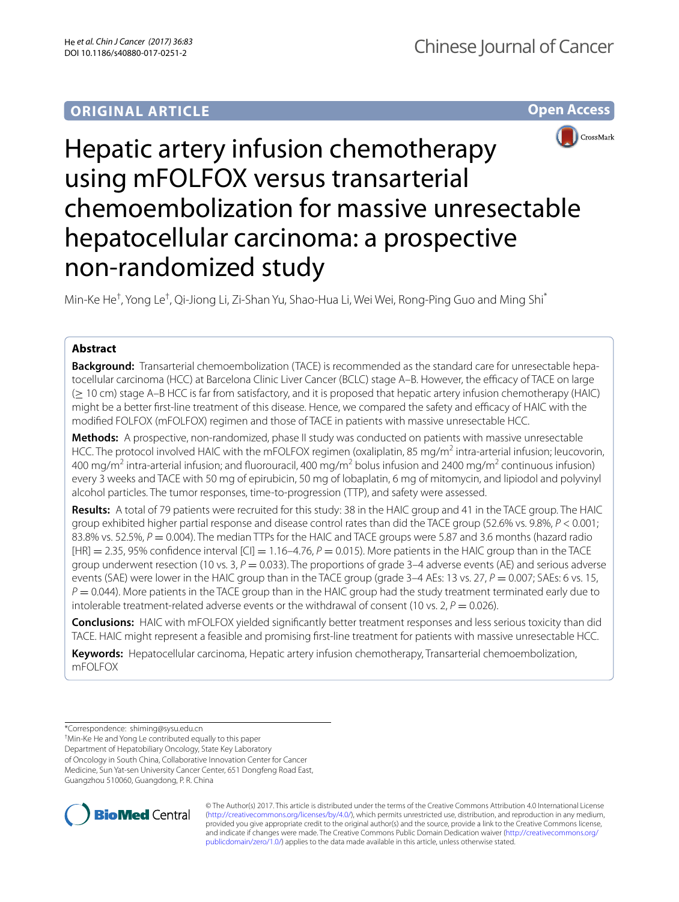# **ORIGINAL ARTICLE**

**Open Access**



# Hepatic artery infusion chemotherapy using mFOLFOX versus transarterial chemoembolization for massive unresectable hepatocellular carcinoma: a prospective non-randomized study

Min-Ke He<sup>†</sup>, Yong Le<sup>†</sup>, Qi-Jiong Li, Zi-Shan Yu, Shao-Hua Li, Wei Wei, Rong-Ping Guo and Ming Shi<sup>\*</sup>

# **Abstract**

**Background:** Transarterial chemoembolization (TACE) is recommended as the standard care for unresectable hepatocellular carcinoma (HCC) at Barcelona Clinic Liver Cancer (BCLC) stage A-B. However, the efficacy of TACE on large (≥ 10 cm) stage A–B HCC is far from satisfactory, and it is proposed that hepatic artery infusion chemotherapy (HAIC) might be a better first-line treatment of this disease. Hence, we compared the safety and efficacy of HAIC with the modifed FOLFOX (mFOLFOX) regimen and those of TACE in patients with massive unresectable HCC.

**Methods:** A prospective, non-randomized, phase II study was conducted on patients with massive unresectable HCC. The protocol involved HAIC with the mFOLFOX regimen (oxaliplatin, 85 mg/m<sup>2</sup> intra-arterial infusion; leucovorin, 400 mg/m $^2$  intra-arterial infusion; and fluorouracil, 400 mg/m $^2$  bolus infusion and 2400 mg/m $^2$  continuous infusion) every 3 weeks and TACE with 50 mg of epirubicin, 50 mg of lobaplatin, 6 mg of mitomycin, and lipiodol and polyvinyl alcohol particles. The tumor responses, time-to-progression (TTP), and safety were assessed.

**Results:** A total of 79 patients were recruited for this study: 38 in the HAIC group and 41 in the TACE group. The HAIC group exhibited higher partial response and disease control rates than did the TACE group (52.6% vs. 9.8%, *P* < 0.001; 83.8% vs. 52.5%, *P* = 0.004). The median TTPs for the HAIC and TACE groups were 5.87 and 3.6 months (hazard radio  $[HR] = 2.35, 95\%$  confidence interval  $[Cl] = 1.16-4.76$ ,  $P = 0.015$ ). More patients in the HAIC group than in the TACE group underwent resection (10 vs. 3,  $P = 0.033$ ). The proportions of grade 3–4 adverse events (AE) and serious adverse events (SAE) were lower in the HAIC group than in the TACE group (grade 3–4 AEs: 13 vs. 27, *P* = 0.007; SAEs: 6 vs. 15, *P* = 0.044). More patients in the TACE group than in the HAIC group had the study treatment terminated early due to intolerable treatment-related adverse events or the withdrawal of consent (10 vs. 2,  $P = 0.026$ ).

**Conclusions:** HAIC with mFOLFOX yielded signifcantly better treatment responses and less serious toxicity than did TACE. HAIC might represent a feasible and promising frst-line treatment for patients with massive unresectable HCC.

**Keywords:** Hepatocellular carcinoma, Hepatic artery infusion chemotherapy, Transarterial chemoembolization, mFOLFOX

\*Correspondence: shiming@sysu.edu.cn

† Min-Ke He and Yong Le contributed equally to this paper

Department of Hepatobiliary Oncology, State Key Laboratory of Oncology in South China, Collaborative Innovation Center for Cancer Medicine, Sun Yat-sen University Cancer Center, 651 Dongfeng Road East,



Guangzhou 510060, Guangdong, P. R. China



© The Author(s) 2017. This article is distributed under the terms of the Creative Commons Attribution 4.0 International License [\(http://creativecommons.org/licenses/by/4.0/\)](http://creativecommons.org/licenses/by/4.0/), which permits unrestricted use, distribution, and reproduction in any medium, provided you give appropriate credit to the original author(s) and the source, provide a link to the Creative Commons license, and indicate if changes were made. The Creative Commons Public Domain Dedication waiver ([http://creativecommons.org/](http://creativecommons.org/publicdomain/zero/1.0/) [publicdomain/zero/1.0/](http://creativecommons.org/publicdomain/zero/1.0/)) applies to the data made available in this article, unless otherwise stated.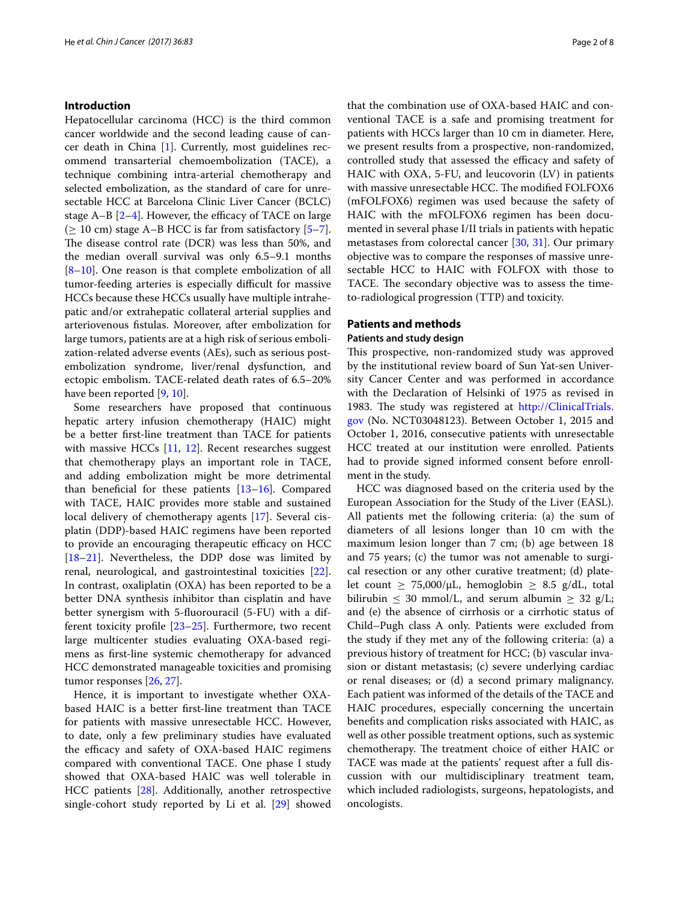# **Introduction**

Hepatocellular carcinoma (HCC) is the third common cancer worldwide and the second leading cause of cancer death in China [\[1](#page-7-0)]. Currently, most guidelines recommend transarterial chemoembolization (TACE), a technique combining intra-arterial chemotherapy and selected embolization, as the standard of care for unresectable HCC at Barcelona Clinic Liver Cancer (BCLC) stage  $A-B$   $[2-4]$  $[2-4]$  $[2-4]$ . However, the efficacy of TACE on large (≥ 10 cm) stage A–B HCC is far from satisfactory  $[5-7]$  $[5-7]$ . The disease control rate (DCR) was less than 50%, and the median overall survival was only 6.5–9.1 months [[8–](#page-7-5)[10\]](#page-7-6). One reason is that complete embolization of all tumor-feeding arteries is especially difficult for massive HCCs because these HCCs usually have multiple intrahepatic and/or extrahepatic collateral arterial supplies and arteriovenous fstulas. Moreover, after embolization for large tumors, patients are at a high risk of serious embolization-related adverse events (AEs), such as serious postembolization syndrome, liver/renal dysfunction, and ectopic embolism. TACE-related death rates of 6.5–20% have been reported [[9,](#page-7-7) [10](#page-7-6)].

Some researchers have proposed that continuous hepatic artery infusion chemotherapy (HAIC) might be a better frst-line treatment than TACE for patients with massive HCCs [[11,](#page-7-8) [12](#page-7-9)]. Recent researches suggest that chemotherapy plays an important role in TACE, and adding embolization might be more detrimental than benefcial for these patients [[13–](#page-7-10)[16](#page-7-11)]. Compared with TACE, HAIC provides more stable and sustained local delivery of chemotherapy agents [\[17](#page-7-12)]. Several cisplatin (DDP)-based HAIC regimens have been reported to provide an encouraging therapeutic efficacy on HCC [[18–](#page-7-13)[21](#page-7-14)]. Nevertheless, the DDP dose was limited by renal, neurological, and gastrointestinal toxicities [\[22](#page-7-15)]. In contrast, oxaliplatin (OXA) has been reported to be a better DNA synthesis inhibitor than cisplatin and have better synergism with 5-fuorouracil (5-FU) with a different toxicity profle [\[23](#page-7-16)[–25\]](#page-7-17). Furthermore, two recent large multicenter studies evaluating OXA-based regimens as frst-line systemic chemotherapy for advanced HCC demonstrated manageable toxicities and promising tumor responses [\[26](#page-7-18), [27\]](#page-7-19).

Hence, it is important to investigate whether OXAbased HAIC is a better frst-line treatment than TACE for patients with massive unresectable HCC. However, to date, only a few preliminary studies have evaluated the efficacy and safety of OXA-based HAIC regimens compared with conventional TACE. One phase I study showed that OXA-based HAIC was well tolerable in HCC patients [\[28](#page-7-20)]. Additionally, another retrospective single-cohort study reported by Li et al. [\[29](#page-7-21)] showed that the combination use of OXA-based HAIC and conventional TACE is a safe and promising treatment for patients with HCCs larger than 10 cm in diameter. Here, we present results from a prospective, non-randomized, controlled study that assessed the efficacy and safety of HAIC with OXA, 5-FU, and leucovorin (LV) in patients with massive unresectable HCC. The modified FOLFOX6 (mFOLFOX6) regimen was used because the safety of HAIC with the mFOLFOX6 regimen has been documented in several phase I/II trials in patients with hepatic metastases from colorectal cancer [\[30,](#page-7-22) [31](#page-7-23)]. Our primary objective was to compare the responses of massive unresectable HCC to HAIC with FOLFOX with those to TACE. The secondary objective was to assess the timeto-radiological progression (TTP) and toxicity.

# **Patients and methods Patients and study design**

This prospective, non-randomized study was approved by the institutional review board of Sun Yat-sen University Cancer Center and was performed in accordance with the Declaration of Helsinki of 1975 as revised in 1983. The study was registered at [http://ClinicalTrials.](http://ClinicalTrials.gov) [gov](http://ClinicalTrials.gov) (No. NCT03048123). Between October 1, 2015 and October 1, 2016, consecutive patients with unresectable HCC treated at our institution were enrolled. Patients had to provide signed informed consent before enrollment in the study.

HCC was diagnosed based on the criteria used by the European Association for the Study of the Liver (EASL). All patients met the following criteria: (a) the sum of diameters of all lesions longer than 10 cm with the maximum lesion longer than 7 cm; (b) age between 18 and 75 years; (c) the tumor was not amenable to surgical resection or any other curative treatment; (d) platelet count  $\geq$  75,000/ $\mu$ L, hemoglobin  $\geq$  8.5 g/dL, total bilirubin  $\leq 30$  mmol/L, and serum albumin  $\geq 32$  g/L; and (e) the absence of cirrhosis or a cirrhotic status of Child–Pugh class A only. Patients were excluded from the study if they met any of the following criteria: (a) a previous history of treatment for HCC; (b) vascular invasion or distant metastasis; (c) severe underlying cardiac or renal diseases; or (d) a second primary malignancy. Each patient was informed of the details of the TACE and HAIC procedures, especially concerning the uncertain benefts and complication risks associated with HAIC, as well as other possible treatment options, such as systemic chemotherapy. The treatment choice of either HAIC or TACE was made at the patients' request after a full discussion with our multidisciplinary treatment team, which included radiologists, surgeons, hepatologists, and oncologists.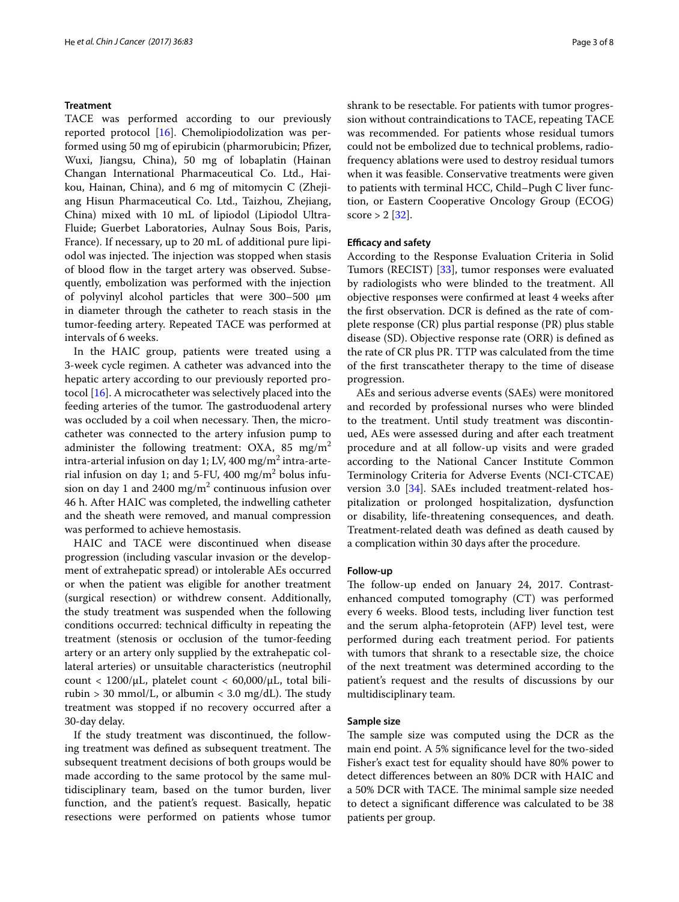# **Treatment**

TACE was performed according to our previously reported protocol [[16](#page-7-11)]. Chemolipiodolization was performed using 50 mg of epirubicin (pharmorubicin; Pfzer, Wuxi, Jiangsu, China), 50 mg of lobaplatin (Hainan Changan International Pharmaceutical Co. Ltd., Haikou, Hainan, China), and 6 mg of mitomycin C (Zhejiang Hisun Pharmaceutical Co. Ltd., Taizhou, Zhejiang, China) mixed with 10 mL of lipiodol (Lipiodol Ultra-Fluide; Guerbet Laboratories, Aulnay Sous Bois, Paris, France). If necessary, up to 20 mL of additional pure lipiodol was injected. The injection was stopped when stasis of blood flow in the target artery was observed. Subsequently, embolization was performed with the injection of polyvinyl alcohol particles that were 300–500 μm in diameter through the catheter to reach stasis in the tumor-feeding artery. Repeated TACE was performed at intervals of 6 weeks.

In the HAIC group, patients were treated using a 3-week cycle regimen. A catheter was advanced into the hepatic artery according to our previously reported protocol [[16](#page-7-11)]. A microcatheter was selectively placed into the feeding arteries of the tumor. The gastroduodenal artery was occluded by a coil when necessary. Then, the microcatheter was connected to the artery infusion pump to administer the following treatment: OXA, 85  $mg/m<sup>2</sup>$ intra-arterial infusion on day 1; LV, 400 mg/m $^2$  intra-arterial infusion on day 1; and 5-FU, 400 mg/m $^2$  bolus infusion on day 1 and 2400 mg/m<sup>2</sup> continuous infusion over 46 h. After HAIC was completed, the indwelling catheter and the sheath were removed, and manual compression was performed to achieve hemostasis.

HAIC and TACE were discontinued when disease progression (including vascular invasion or the development of extrahepatic spread) or intolerable AEs occurred or when the patient was eligible for another treatment (surgical resection) or withdrew consent. Additionally, the study treatment was suspended when the following conditions occurred: technical difficulty in repeating the treatment (stenosis or occlusion of the tumor-feeding artery or an artery only supplied by the extrahepatic collateral arteries) or unsuitable characteristics (neutrophil count <  $1200/\mu L$ , platelet count <  $60,000/\mu L$ , total bilirubin > 30 mmol/L, or albumin < 3.0 mg/dL). The study treatment was stopped if no recovery occurred after a 30-day delay.

If the study treatment was discontinued, the following treatment was defined as subsequent treatment. The subsequent treatment decisions of both groups would be made according to the same protocol by the same multidisciplinary team, based on the tumor burden, liver function, and the patient's request. Basically, hepatic resections were performed on patients whose tumor shrank to be resectable. For patients with tumor progression without contraindications to TACE, repeating TACE was recommended. For patients whose residual tumors could not be embolized due to technical problems, radiofrequency ablations were used to destroy residual tumors when it was feasible. Conservative treatments were given to patients with terminal HCC, Child–Pugh C liver function, or Eastern Cooperative Oncology Group (ECOG) score  $> 2$  [[32](#page-7-24)].

#### **Efficacy and safety**

According to the Response Evaluation Criteria in Solid Tumors (RECIST) [\[33\]](#page-7-25), tumor responses were evaluated by radiologists who were blinded to the treatment. All objective responses were confrmed at least 4 weeks after the frst observation. DCR is defned as the rate of complete response (CR) plus partial response (PR) plus stable disease (SD). Objective response rate (ORR) is defned as the rate of CR plus PR. TTP was calculated from the time of the frst transcatheter therapy to the time of disease progression.

AEs and serious adverse events (SAEs) were monitored and recorded by professional nurses who were blinded to the treatment. Until study treatment was discontinued, AEs were assessed during and after each treatment procedure and at all follow-up visits and were graded according to the National Cancer Institute Common Terminology Criteria for Adverse Events (NCI-CTCAE) version 3.0 [[34](#page-7-26)]. SAEs included treatment-related hospitalization or prolonged hospitalization, dysfunction or disability, life-threatening consequences, and death. Treatment-related death was defned as death caused by a complication within 30 days after the procedure.

#### **Follow‑up**

The follow-up ended on January 24, 2017. Contrastenhanced computed tomography (CT) was performed every 6 weeks. Blood tests, including liver function test and the serum alpha-fetoprotein (AFP) level test, were performed during each treatment period. For patients with tumors that shrank to a resectable size, the choice of the next treatment was determined according to the patient's request and the results of discussions by our multidisciplinary team.

#### **Sample size**

The sample size was computed using the DCR as the main end point. A 5% signifcance level for the two-sided Fisher's exact test for equality should have 80% power to detect diferences between an 80% DCR with HAIC and a 50% DCR with TACE. The minimal sample size needed to detect a signifcant diference was calculated to be 38 patients per group.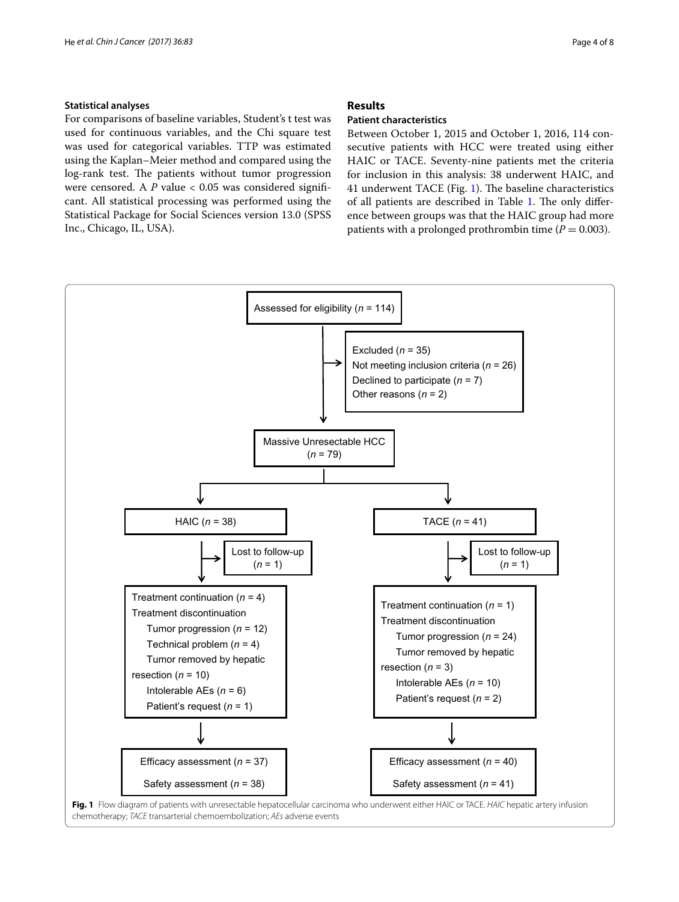# **Statistical analyses**

For comparisons of baseline variables, Student's t test was used for continuous variables, and the Chi square test was used for categorical variables. TTP was estimated using the Kaplan–Meier method and compared using the log-rank test. The patients without tumor progression were censored. A *P* value < 0.05 was considered signifcant. All statistical processing was performed using the Statistical Package for Social Sciences version 13.0 (SPSS Inc., Chicago, IL, USA).

# **Results**

#### **Patient characteristics**

Between October 1, 2015 and October 1, 2016, 114 consecutive patients with HCC were treated using either HAIC or TACE. Seventy-nine patients met the criteria for inclusion in this analysis: 38 underwent HAIC, and 41 underwent TACE (Fig. [1\)](#page-3-0). The baseline characteristics of all patients are described in Table [1.](#page-4-0) The only difference between groups was that the HAIC group had more patients with a prolonged prothrombin time  $(P = 0.003)$ .

<span id="page-3-0"></span>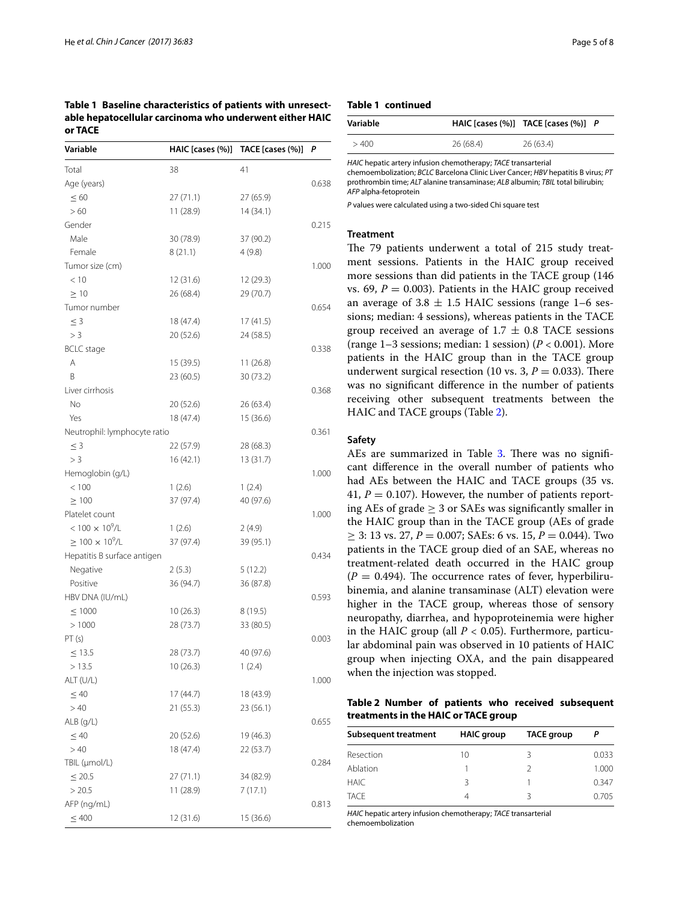<span id="page-4-0"></span>**Table 1 Baseline characteristics of patients with unresectable hepatocellular carcinoma who underwent either HAIC or TACE**

| Variable                     |           | HAIC [cases (%)] TACE [cases (%)] | Ρ     |
|------------------------------|-----------|-----------------------------------|-------|
| Total                        | 38        | 41                                |       |
| Age (years)                  |           |                                   | 0.638 |
| $\leq 60$                    | 27 (71.1) | 27 (65.9)                         |       |
| >60                          | 11 (28.9) | 14 (34.1)                         |       |
| Gender                       |           |                                   | 0.215 |
| Male                         | 30 (78.9) | 37 (90.2)                         |       |
| Female                       | 8(21.1)   | 4(9.8)                            |       |
| Tumor size (cm)              |           |                                   | 1.000 |
| < 10                         | 12 (31.6) | 12 (29.3)                         |       |
| $\geq 10$                    | 26 (68.4) | 29 (70.7)                         |       |
| Tumor number                 |           |                                   | 0.654 |
| $\leq 3$                     | 18 (47.4) | 17(41.5)                          |       |
| $>$ 3                        | 20 (52.6) | 24 (58.5)                         |       |
| <b>BCLC</b> stage            |           |                                   | 0.338 |
| Α                            | 15 (39.5) | 11 (26.8)                         |       |
| B                            | 23 (60.5) | 30 (73.2)                         |       |
| Liver cirrhosis              |           |                                   | 0.368 |
| No                           | 20 (52.6) | 26 (63.4)                         |       |
| Yes                          | 18 (47.4) | 15 (36.6)                         |       |
| Neutrophil: lymphocyte ratio |           |                                   | 0.361 |
| $\leq 3$                     | 22 (57.9) | 28 (68.3)                         |       |
| > 3                          | 16(42.1)  | 13 (31.7)                         |       |
| Hemoglobin (g/L)             |           |                                   | 1.000 |
| < 100                        | 1(2.6)    | 1(2.4)                            |       |
| $\geq 100$                   | 37 (97.4) | 40 (97.6)                         |       |
| Platelet count               |           |                                   | 1.000 |
| $< 100 \times 10^{9}$ /L     | 1(2.6)    | 2(4.9)                            |       |
| $\geq 100 \times 10^{9}$ /L  | 37 (97.4) | 39 (95.1)                         |       |
| Hepatitis B surface antigen  |           |                                   | 0.434 |
| Negative                     | 2(5.3)    | 5(12.2)                           |       |
| Positive                     | 36 (94.7) | 36 (87.8)                         |       |
| HBV DNA (IU/mL)              |           |                                   | 0.593 |
| $\leq 1000$                  | 10(26.3)  | 8(19.5)                           |       |
| >1000                        | 28 (73.7) | 33 (80.5)                         |       |
| PT(s)                        |           |                                   | 0.003 |
| $\leq$ 13.5                  | 28 (73.7) | 40 (97.6)                         |       |
| >13.5                        | 10(26.3)  | 1(2.4)                            |       |
| ALT (U/L)                    |           |                                   | 1.000 |
| $\leq 40$                    | 17 (44.7) | 18 (43.9)                         |       |
| >40                          | 21 (55.3) | 23 (56.1)                         |       |
| $ALB$ (g/L)                  |           |                                   | 0.655 |
| $\leq 40$                    | 20 (52.6) | 19 (46.3)                         |       |
| >40                          | 18 (47.4) | 22 (53.7)                         |       |
| TBIL (µmol/L)                |           |                                   | 0.284 |
| $\leq 20.5$                  | 27(71.1)  | 34 (82.9)                         |       |
| > 20.5                       | 11(28.9)  | 7(17.1)                           |       |
| AFP (ng/mL)                  |           |                                   | 0.813 |
| $\leq 400$                   | 12 (31.6) | 15 (36.6)                         |       |

#### **Table 1 continued**

| Variable |          | HAIC [cases $(\%)$ ] TACE [cases $(\%)$ ] P |  |
|----------|----------|---------------------------------------------|--|
| >400     | 26(68.4) | 26(63.4)                                    |  |

*HAIC* hepatic artery infusion chemotherapy; *TACE* transarterial chemoembolization; *BCLC* Barcelona Clinic Liver Cancer; *HBV* hepatitis B virus; *PT* prothrombin time; *ALT* alanine transaminase; *ALB* albumin; *TBIL* total bilirubin; *AFP* alpha-fetoprotein

*P* values were calculated using a two-sided Chi square test

#### **Treatment**

The 79 patients underwent a total of 215 study treatment sessions. Patients in the HAIC group received more sessions than did patients in the TACE group (146 vs. 69,  $P = 0.003$ ). Patients in the HAIC group received an average of  $3.8 \pm 1.5$  HAIC sessions (range 1–6 sessions; median: 4 sessions), whereas patients in the TACE group received an average of  $1.7 \pm 0.8$  TACE sessions (range  $1-3$  sessions; median: 1 session) ( $P < 0.001$ ). More patients in the HAIC group than in the TACE group underwent surgical resection (10 vs. 3,  $P = 0.033$ ). There was no signifcant diference in the number of patients receiving other subsequent treatments between the HAIC and TACE groups (Table [2](#page-4-1)).

#### **Safety**

AEs are summarized in Table [3](#page-5-0). There was no significant diference in the overall number of patients who had AEs between the HAIC and TACE groups (35 vs. 41,  $P = 0.107$ ). However, the number of patients reporting AEs of grade  $\geq 3$  or SAEs was significantly smaller in the HAIC group than in the TACE group (AEs of grade ≥ 3: 13 vs. 27, *P* = 0.007; SAEs: 6 vs. 15, *P* = 0.044). Two patients in the TACE group died of an SAE, whereas no treatment-related death occurred in the HAIC group  $(P = 0.494)$ . The occurrence rates of fever, hyperbilirubinemia, and alanine transaminase (ALT) elevation were higher in the TACE group, whereas those of sensory neuropathy, diarrhea, and hypoproteinemia were higher in the HAIC group (all  $P < 0.05$ ). Furthermore, particular abdominal pain was observed in 10 patients of HAIC group when injecting OXA, and the pain disappeared when the injection was stopped.

### <span id="page-4-1"></span>**Table 2 Number of patients who received subsequent treatments in the HAIC or TACE group**

| Subsequent treatment | <b>HAIC group</b> | <b>TACE group</b> |       |  |
|----------------------|-------------------|-------------------|-------|--|
| Resection            | 10                |                   | 0.033 |  |
| Ablation             |                   |                   | 1.000 |  |
| <b>HAIC</b>          | ζ                 |                   | 0.347 |  |
| <b>TACE</b>          |                   | ર                 | 0.705 |  |

*HAIC* hepatic artery infusion chemotherapy; *TACE* transarterial chemoembolization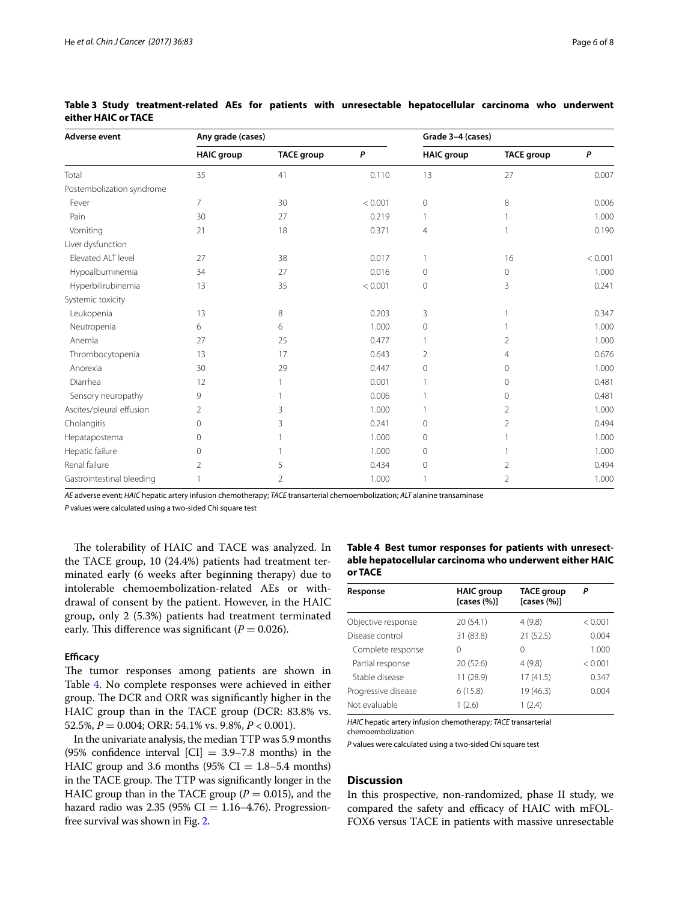| Adverse event             | Any grade (cases) |                   |         | Grade 3-4 (cases) |                   |         |
|---------------------------|-------------------|-------------------|---------|-------------------|-------------------|---------|
|                           | <b>HAIC group</b> | <b>TACE group</b> | P       | <b>HAIC group</b> | <b>TACE group</b> | P       |
| Total                     | 35                | 41                | 0.110   | 13                | 27                | 0.007   |
| Postembolization syndrome |                   |                   |         |                   |                   |         |
| Fever                     | 7                 | 30                | < 0.001 | 0                 | 8                 | 0.006   |
| Pain                      | 30                | 27                | 0.219   | 1                 |                   | 1.000   |
| Vomiting                  | 21                | 18                | 0.371   | $\overline{4}$    |                   | 0.190   |
| Liver dysfunction         |                   |                   |         |                   |                   |         |
| Elevated ALT level        | 27                | 38                | 0.017   | 1                 | 16                | < 0.001 |
| Hypoalbuminemia           | 34                | 27                | 0.016   | 0                 | 0                 | 1.000   |
| Hyperbilirubinemia        | 13                | 35                | < 0.001 | $\Omega$          | 3                 | 0.241   |
| Systemic toxicity         |                   |                   |         |                   |                   |         |
| Leukopenia                | 13                | 8                 | 0.203   | 3                 | 1                 | 0.347   |
| Neutropenia               | 6                 | 6                 | 1.000   | $\Omega$          | 1                 | 1.000   |
| Anemia                    | 27                | 25                | 0.477   |                   | 2                 | 1.000   |
| Thrombocytopenia          | 13                | 17                | 0.643   | $\mathcal{P}$     | $\overline{4}$    | 0.676   |
| Anorexia                  | 30                | 29                | 0.447   | 0                 | 0                 | 1.000   |
| Diarrhea                  | 12                |                   | 0.001   |                   | 0                 | 0.481   |
| Sensory neuropathy        | 9                 |                   | 0.006   |                   | 0                 | 0.481   |
| Ascites/pleural effusion  | $\overline{2}$    | 3                 | 1.000   |                   | $\overline{2}$    | 1.000   |
| Cholangitis               | $\mathbf{0}$      | 3                 | 0.241   | 0                 | $\overline{2}$    | 0.494   |
| Hepatapostema             | $\mathbf{0}$      |                   | 1.000   | $\Omega$          | 1                 | 1.000   |
| Hepatic failure           | $\mathbf{0}$      |                   | 1.000   | $\Omega$          | 1                 | 1.000   |
| Renal failure             | $\overline{2}$    | 5                 | 0.434   | $\Omega$          | 2                 | 0.494   |
| Gastrointestinal bleeding | 1                 | $\overline{2}$    | 1.000   | 1                 | 2                 | 1.000   |

<span id="page-5-0"></span>**Table 3 Study treatment-related AEs for patients with unresectable hepatocellular carcinoma who underwent either HAIC or TACE**

*AE* adverse event; *HAIC* hepatic artery infusion chemotherapy; *TACE* transarterial chemoembolization; *ALT* alanine transaminase

*P* values were calculated using a two-sided Chi square test

The tolerability of HAIC and TACE was analyzed. In the TACE group, 10 (24.4%) patients had treatment terminated early (6 weeks after beginning therapy) due to intolerable chemoembolization-related AEs or withdrawal of consent by the patient. However, in the HAIC group, only 2 (5.3%) patients had treatment terminated early. This difference was significant ( $P = 0.026$ ).

# **Efficacy**

The tumor responses among patients are shown in Table [4](#page-5-1). No complete responses were achieved in either group. The DCR and ORR was significantly higher in the HAIC group than in the TACE group (DCR: 83.8% vs. 52.5%, *P* = 0.004; ORR: 54.1% vs. 9.8%, *P* < 0.001).

In the univariate analysis, the median TTP was 5.9 months (95% confidence interval  $\text{[CI]} = 3.9 - 7.8$  months) in the HAIC group and 3.6 months (95%  $CI = 1.8-5.4$  months) in the TACE group. The TTP was significantly longer in the HAIC group than in the TACE group  $(P = 0.015)$ , and the hazard radio was 2.35 (95% CI =  $1.16-4.76$ ). Progressionfree survival was shown in Fig. [2.](#page-6-0)

<span id="page-5-1"></span>**Table 4 Best tumor responses for patients with unresectable hepatocellular carcinoma who underwent either HAIC or TACE**

| Response            | <b>HAIC group</b><br>[cases (%)] | <b>TACE group</b><br>[cases (%)] | P       |
|---------------------|----------------------------------|----------------------------------|---------|
| Objective response  | 20 (54.1)                        | 4(9.8)                           | < 0.001 |
| Disease control     | 31 (83.8)                        | 21(52.5)                         | 0.004   |
| Complete response   | Ω                                | 0                                | 1.000   |
| Partial response    | 20 (52.6)                        | 4(9.8)                           | < 0.001 |
| Stable disease      | 11 (28.9)                        | 17(41.5)                         | 0.347   |
| Progressive disease | 6(15.8)                          | 19 (46.3)                        | 0.004   |
| Not evaluable       | 1(2.6)                           | 1(2.4)                           |         |

*HAIC* hepatic artery infusion chemotherapy; *TACE* transarterial

chemoembolization

*P* values were calculated using a two-sided Chi square test

#### **Discussion**

In this prospective, non-randomized, phase II study, we compared the safety and efficacy of HAIC with mFOL-FOX6 versus TACE in patients with massive unresectable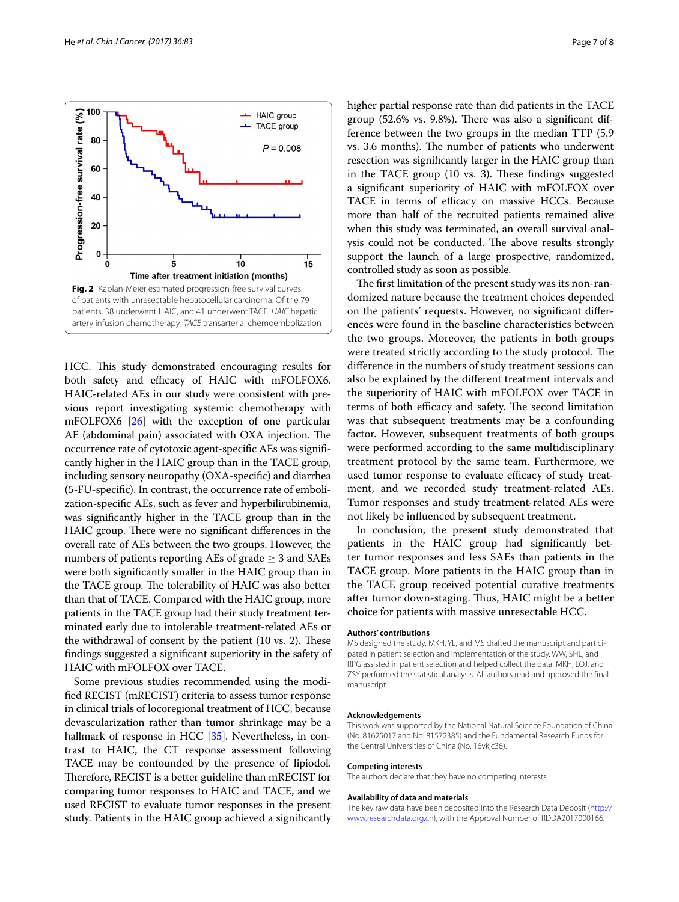

<span id="page-6-0"></span>HCC. This study demonstrated encouraging results for both safety and efficacy of HAIC with mFOLFOX6. HAIC-related AEs in our study were consistent with previous report investigating systemic chemotherapy with mFOLFOX6 [\[26\]](#page-7-18) with the exception of one particular AE (abdominal pain) associated with OXA injection. The occurrence rate of cytotoxic agent-specifc AEs was signifcantly higher in the HAIC group than in the TACE group, including sensory neuropathy (OXA-specifc) and diarrhea (5-FU-specifc). In contrast, the occurrence rate of embolization-specifc AEs, such as fever and hyperbilirubinemia, was signifcantly higher in the TACE group than in the HAIC group. There were no significant differences in the overall rate of AEs between the two groups. However, the numbers of patients reporting AEs of grade  $\geq 3$  and SAEs were both signifcantly smaller in the HAIC group than in the TACE group. The tolerability of HAIC was also better than that of TACE. Compared with the HAIC group, more patients in the TACE group had their study treatment terminated early due to intolerable treatment-related AEs or the withdrawal of consent by the patient (10 vs. 2). These fndings suggested a signifcant superiority in the safety of HAIC with mFOLFOX over TACE.

Some previous studies recommended using the modifed RECIST (mRECIST) criteria to assess tumor response in clinical trials of locoregional treatment of HCC, because devascularization rather than tumor shrinkage may be a hallmark of response in HCC [\[35\]](#page-7-27). Nevertheless, in contrast to HAIC, the CT response assessment following TACE may be confounded by the presence of lipiodol. Therefore, RECIST is a better guideline than mRECIST for comparing tumor responses to HAIC and TACE, and we used RECIST to evaluate tumor responses in the present study. Patients in the HAIC group achieved a signifcantly higher partial response rate than did patients in the TACE group  $(52.6\% \text{ vs. } 9.8\%)$ . There was also a significant difference between the two groups in the median TTP (5.9 vs. 3.6 months). The number of patients who underwent resection was signifcantly larger in the HAIC group than in the TACE group (10 vs. 3). These findings suggested a signifcant superiority of HAIC with mFOLFOX over TACE in terms of efficacy on massive HCCs. Because more than half of the recruited patients remained alive when this study was terminated, an overall survival analysis could not be conducted. The above results strongly support the launch of a large prospective, randomized, controlled study as soon as possible.

The first limitation of the present study was its non-randomized nature because the treatment choices depended on the patients' requests. However, no signifcant diferences were found in the baseline characteristics between the two groups. Moreover, the patients in both groups were treated strictly according to the study protocol. The diference in the numbers of study treatment sessions can also be explained by the diferent treatment intervals and the superiority of HAIC with mFOLFOX over TACE in terms of both efficacy and safety. The second limitation was that subsequent treatments may be a confounding factor. However, subsequent treatments of both groups were performed according to the same multidisciplinary treatment protocol by the same team. Furthermore, we used tumor response to evaluate efficacy of study treatment, and we recorded study treatment-related AEs. Tumor responses and study treatment-related AEs were not likely be infuenced by subsequent treatment.

In conclusion, the present study demonstrated that patients in the HAIC group had signifcantly better tumor responses and less SAEs than patients in the TACE group. More patients in the HAIC group than in the TACE group received potential curative treatments after tumor down-staging. Thus, HAIC might be a better choice for patients with massive unresectable HCC.

#### **Authors' contributions**

MS designed the study. MKH, YL, and MS drafted the manuscript and participated in patient selection and implementation of the study. WW, SHL, and RPG assisted in patient selection and helped collect the data. MKH, LQJ, and ZSY performed the statistical analysis. All authors read and approved the fnal manuscript.

#### **Acknowledgements**

This work was supported by the National Natural Science Foundation of China (No. 81625017 and No. 81572385) and the Fundamental Research Funds for the Central Universities of China (No. 16ykjc36).

#### **Competing interests**

The authors declare that they have no competing interests.

#### **Availability of data and materials**

The key raw data have been deposited into the Research Data Deposit ([http://](http://www.researchdata.org.cn) [www.researchdata.org.cn\)](http://www.researchdata.org.cn), with the Approval Number of RDDA2017000166.